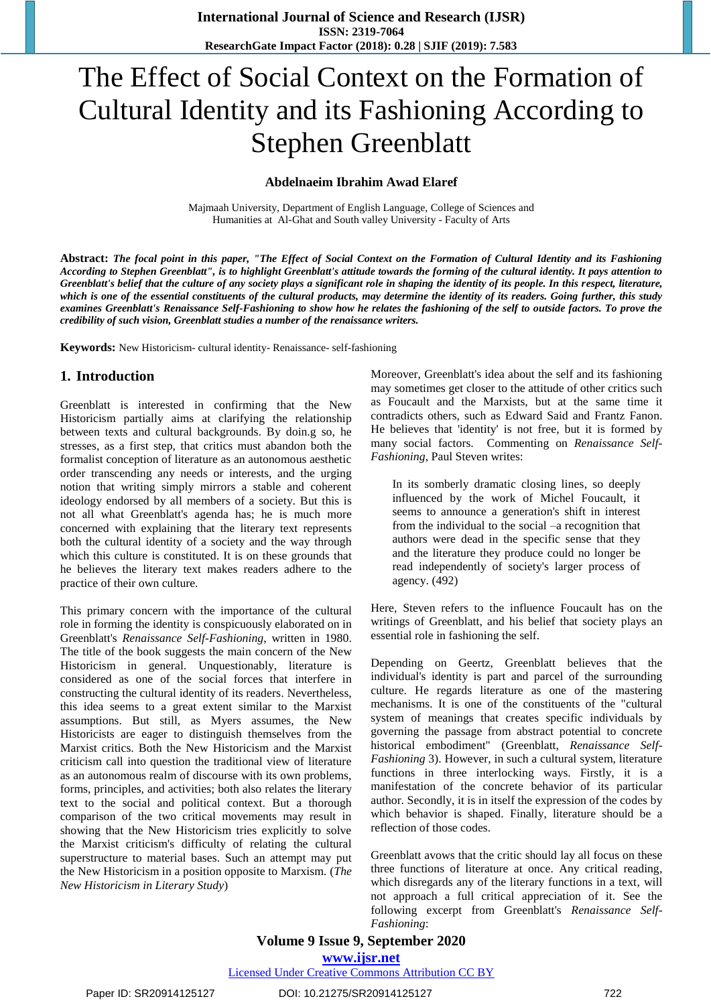# The Effect of Social Context on the Formation of Cultural Identity and its Fashioning According to Stephen Greenblatt

#### **Abdelnaeim Ibrahim Awad Elaref**

Majmaah University, Department of English Language, College of Sciences and Humanities at Al-Ghat and South valley University - Faculty of Arts

**Abstract:** *The focal point in this paper, "The Effect of Social Context on the Formation of Cultural Identity and its Fashioning According to Stephen Greenblatt", is to highlight Greenblatt's attitude towards the forming of the cultural identity. It pays attention to Greenblatt's belief that the culture of any society plays a significant role in shaping the identity of its people. In this respect, literature, which is one of the essential constituents of the cultural products, may determine the identity of its readers. Going further, this study examines Greenblatt's Renaissance Self-Fashioning to show how he relates the fashioning of the self to outside factors. To prove the credibility of such vision, Greenblatt studies a number of the renaissance writers.*

**Keywords:** New Historicism- cultural identity- Renaissance- self-fashioning

#### **1. Introduction**

Greenblatt is interested in confirming that the New Historicism partially aims at clarifying the relationship between texts and cultural backgrounds. By doin.g so, he stresses, as a first step, that critics must abandon both the formalist conception of literature as an autonomous aesthetic order transcending any needs or interests, and the urging notion that writing simply mirrors a stable and coherent ideology endorsed by all members of a society. But this is not all what Greenblatt's agenda has; he is much more concerned with explaining that the literary text represents both the cultural identity of a society and the way through which this culture is constituted. It is on these grounds that he believes the literary text makes readers adhere to the practice of their own culture.

This primary concern with the importance of the cultural role in forming the identity is conspicuously elaborated on in Greenblatt's *Renaissance Self-Fashioning*, written in 1980. The title of the book suggests the main concern of the New Historicism in general. Unquestionably, literature is considered as one of the social forces that interfere in constructing the cultural identity of its readers. Nevertheless, this idea seems to a great extent similar to the Marxist assumptions. But still, as Myers assumes, the New Historicists are eager to distinguish themselves from the Marxist critics. Both the New Historicism and the Marxist criticism call into question the traditional view of literature as an autonomous realm of discourse with its own problems, forms, principles, and activities; both also relates the literary text to the social and political context. But a thorough comparison of the two critical movements may result in showing that the New Historicism tries explicitly to solve the Marxist criticism's difficulty of relating the cultural superstructure to material bases. Such an attempt may put the New Historicism in a position opposite to Marxism. (*The New Historicism in Literary Study*)

Moreover, Greenblatt's idea about the self and its fashioning may sometimes get closer to the attitude of other critics such as Foucault and the Marxists, but at the same time it contradicts others, such as Edward Said and Frantz Fanon. He believes that 'identity' is not free, but it is formed by many social factors. Commenting on *Renaissance Self-Fashioning*, Paul Steven writes:

In its somberly dramatic closing lines, so deeply influenced by the work of Michel Foucault, it seems to announce a generation's shift in interest from the individual to the social –a recognition that authors were dead in the specific sense that they and the literature they produce could no longer be read independently of society's larger process of agency. (492)

Here, Steven refers to the influence Foucault has on the writings of Greenblatt, and his belief that society plays an essential role in fashioning the self.

Depending on Geertz, Greenblatt believes that the individual's identity is part and parcel of the surrounding culture. He regards literature as one of the mastering mechanisms. It is one of the constituents of the "cultural system of meanings that creates specific individuals by governing the passage from abstract potential to concrete historical embodiment" (Greenblatt, *Renaissance Self-Fashioning* 3). However, in such a cultural system, literature functions in three interlocking ways. Firstly, it is a manifestation of the concrete behavior of its particular author. Secondly, it is in itself the expression of the codes by which behavior is shaped. Finally, literature should be a reflection of those codes.

Greenblatt avows that the critic should lay all focus on these three functions of literature at once. Any critical reading, which disregards any of the literary functions in a text, will not approach a full critical appreciation of it. See the following excerpt from Greenblatt's *Renaissance Self-Fashioning*:

# **Volume 9 Issue 9, September 2020**

**www.ijsr.net** Licensed Under Creative Commons Attribution CC BY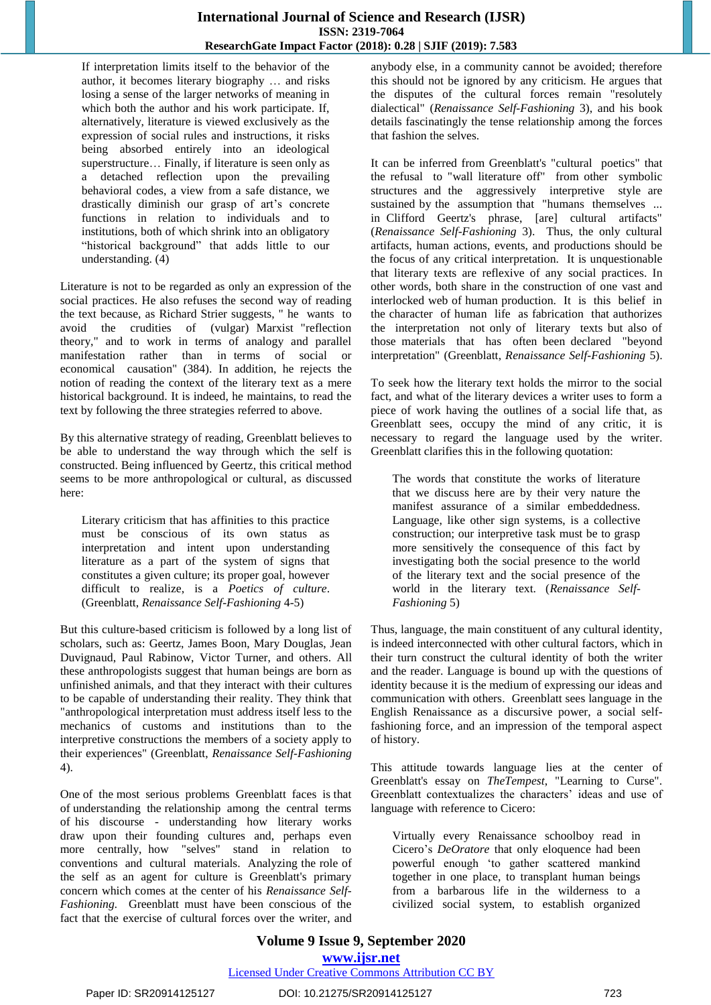If interpretation limits itself to the behavior of the author, it becomes literary biography … and risks losing a sense of the larger networks of meaning in which both the author and his work participate. If, alternatively, literature is viewed exclusively as the expression of social rules and instructions, it risks being absorbed entirely into an ideological superstructure… Finally, if literature is seen only as a detached reflection upon the prevailing behavioral codes, a view from a safe distance, we drastically diminish our grasp of art's concrete functions in relation to individuals and to institutions, both of which shrink into an obligatory "historical background" that adds little to our understanding. (4)

Literature is not to be regarded as only an expression of the social practices. He also refuses the second way of reading the text because, as Richard Strier suggests, " he wants to avoid the crudities of (vulgar) Marxist "reflection theory," and to work in terms of analogy and parallel manifestation rather than in terms of social or economical causation" (384). In addition, he rejects the notion of reading the context of the literary text as a mere historical background. It is indeed, he maintains, to read the text by following the three strategies referred to above.

By this alternative strategy of reading, Greenblatt believes to be able to understand the way through which the self is constructed. Being influenced by Geertz, this critical method seems to be more anthropological or cultural, as discussed here:

Literary criticism that has affinities to this practice must be conscious of its own status as interpretation and intent upon understanding literature as a part of the system of signs that constitutes a given culture; its proper goal, however difficult to realize, is a *Poetics of culture*. (Greenblatt, *Renaissance Self-Fashioning* 4-5)

But this culture-based criticism is followed by a long list of scholars, such as: Geertz, James Boon, Mary Douglas, Jean Duvignaud, Paul Rabinow, Victor Turner, and others. All these anthropologists suggest that human beings are born as unfinished animals, and that they interact with their cultures to be capable of understanding their reality. They think that "anthropological interpretation must address itself less to the mechanics of customs and institutions than to the interpretive constructions the members of a society apply to their experiences" (Greenblatt, *Renaissance Self-Fashioning* 4).

One of the most serious problems Greenblatt faces is that of understanding the relationship among the central terms of his discourse - understanding how literary works draw upon their founding cultures and, perhaps even more centrally, how "selves" stand in relation to conventions and cultural materials. Analyzing the role of the self as an agent for culture is Greenblatt's primary concern which comes at the center of his *Renaissance Self-Fashioning.* Greenblatt must have been conscious of the fact that the exercise of cultural forces over the writer, and anybody else, in a community cannot be avoided; therefore this should not be ignored by any criticism. He argues that the disputes of the cultural forces remain "resolutely dialectical" (*Renaissance Self-Fashioning* 3), and his book details fascinatingly the tense relationship among the forces that fashion the selves.

It can be inferred from Greenblatt's "cultural poetics" that the refusal to "wall literature off" from other symbolic structures and the aggressively interpretive style are sustained by the assumption that "humans themselves ... in Clifford Geertz's phrase, [are] cultural artifacts" (*Renaissance Self-Fashioning* 3). Thus, the only cultural artifacts, human actions, events, and productions should be the focus of any critical interpretation. It is unquestionable that literary texts are reflexive of any social practices. In other words, both share in the construction of one vast and interlocked web of human production. It is this belief in the character of human life as fabrication that authorizes the interpretation not only of literary texts but also of those materials that has often been declared "beyond interpretation" (Greenblatt, *Renaissance Self-Fashioning* 5).

To seek how the literary text holds the mirror to the social fact, and what of the literary devices a writer uses to form a piece of work having the outlines of a social life that, as Greenblatt sees, occupy the mind of any critic, it is necessary to regard the language used by the writer. Greenblatt clarifies this in the following quotation:

The words that constitute the works of literature that we discuss here are by their very nature the manifest assurance of a similar embeddedness. Language, like other sign systems, is a collective construction; our interpretive task must be to grasp more sensitively the consequence of this fact by investigating both the social presence to the world of the literary text and the social presence of the world in the literary text. (*Renaissance Self-Fashioning* 5)

Thus, language, the main constituent of any cultural identity, is indeed interconnected with other cultural factors, which in their turn construct the cultural identity of both the writer and the reader. Language is bound up with the questions of identity because it is the medium of expressing our ideas and communication with others. Greenblatt sees language in the English Renaissance as a discursive power, a social selffashioning force, and an impression of the temporal aspect of history.

This attitude towards language lies at the center of Greenblatt's essay on *TheTempest*, "Learning to Curse". Greenblatt contextualizes the characters' ideas and use of language with reference to Cicero:

Virtually every Renaissance schoolboy read in Cicero's *DeOratore* that only eloquence had been powerful enough 'to gather scattered mankind together in one place, to transplant human beings from a barbarous life in the wilderness to a civilized social system, to establish organized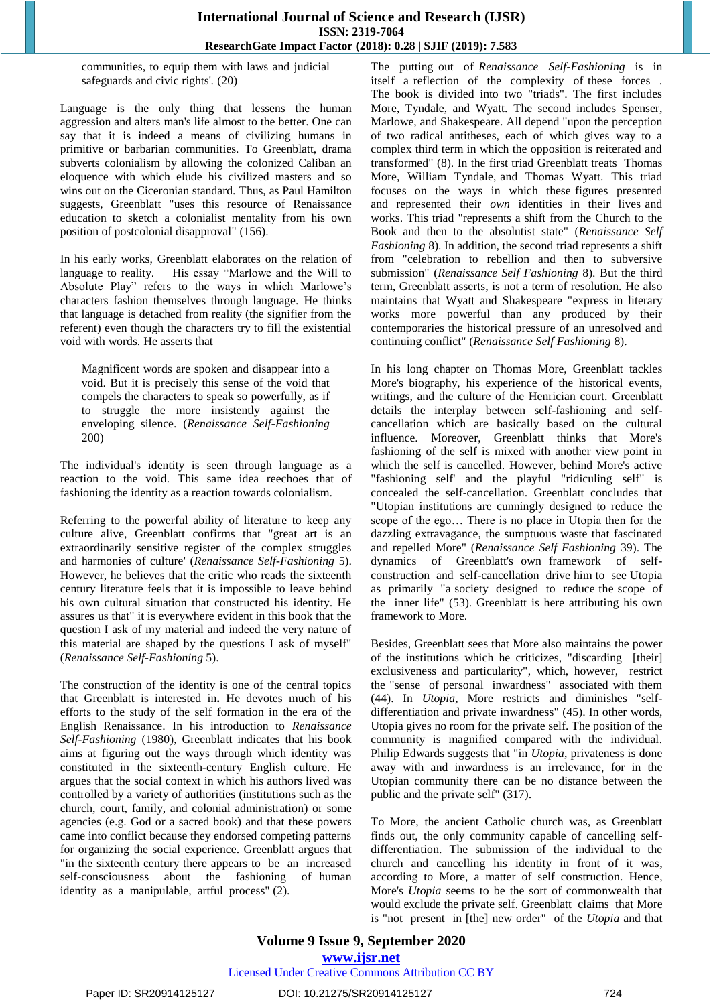communities, to equip them with laws and judicial safeguards and civic rights'. (20)

Language is the only thing that lessens the human aggression and alters man's life almost to the better. One can say that it is indeed a means of civilizing humans in primitive or barbarian communities. To Greenblatt, drama subverts colonialism by allowing the colonized Caliban an eloquence with which elude his civilized masters and so wins out on the Ciceronian standard. Thus, as Paul Hamilton suggests, Greenblatt "uses this resource of Renaissance education to sketch a colonialist mentality from his own position of postcolonial disapproval" (156).

In his early works, Greenblatt elaborates on the relation of language to reality. His essay "Marlowe and the Will to Absolute Play" refers to the ways in which Marlowe's characters fashion themselves through language. He thinks that language is detached from reality (the signifier from the referent) even though the characters try to fill the existential void with words. He asserts that

Magnificent words are spoken and disappear into a void. But it is precisely this sense of the void that compels the characters to speak so powerfully, as if to struggle the more insistently against the enveloping silence. (*Renaissance Self-Fashioning* 200)

The individual's identity is seen through language as a reaction to the void. This same idea reechoes that of fashioning the identity as a reaction towards colonialism.

Referring to the powerful ability of literature to keep any culture alive, Greenblatt confirms that "great art is an extraordinarily sensitive register of the complex struggles and harmonies of culture' (*Renaissance Self-Fashioning* 5). However, he believes that the critic who reads the sixteenth century literature feels that it is impossible to leave behind his own cultural situation that constructed his identity. He assures us that" it is everywhere evident in this book that the question I ask of my material and indeed the very nature of this material are shaped by the questions I ask of myself" (*Renaissance Self-Fashioning* 5).

The construction of the identity is one of the central topics that Greenblatt is interested in**.** He devotes much of his efforts to the study of the self formation in the era of the English Renaissance. In his introduction to *Renaissance Self-Fashioning* (1980), Greenblatt indicates that his book aims at figuring out the ways through which identity was constituted in the sixteenth-century English culture. He argues that the social context in which his authors lived was controlled by a variety of authorities (institutions such as the church, court, family, and colonial administration) or some agencies (e.g. God or a sacred book) and that these powers came into conflict because they endorsed competing patterns for organizing the social experience. Greenblatt argues that "in the sixteenth century there appears to be an increased self-consciousness about the fashioning of human identity as a manipulable, artful process" (2).

The putting out of *Renaissance Self-Fashioning* is in itself a reflection of the complexity of these forces . The book is divided into two "triads". The first includes More, Tyndale, and Wyatt. The second includes Spenser, Marlowe, and Shakespeare. All depend "upon the perception of two radical antitheses, each of which gives way to a complex third term in which the opposition is reiterated and transformed" (8). In the first triad Greenblatt treats Thomas More, William Tyndale, and Thomas Wyatt. This triad focuses on the ways in which these figures presented and represented their *own* identities in their lives and works. This triad "represents a shift from the Church to the Book and then to the absolutist state" (*Renaissance Self Fashioning* 8). In addition, the second triad represents a shift from "celebration to rebellion and then to subversive submission" (*Renaissance Self Fashioning* 8). But the third term, Greenblatt asserts, is not a term of resolution. He also maintains that Wyatt and Shakespeare "express in literary works more powerful than any produced by their contemporaries the historical pressure of an unresolved and continuing conflict" (*Renaissance Self Fashioning* 8).

In his long chapter on Thomas More, Greenblatt tackles More's biography, his experience of the historical events, writings, and the culture of the Henrician court. Greenblatt details the interplay between self-fashioning and selfcancellation which are basically based on the cultural influence. Moreover, Greenblatt thinks that More's fashioning of the self is mixed with another view point in which the self is cancelled. However, behind More's active "fashioning self' and the playful "ridiculing self" is concealed the self-cancellation. Greenblatt concludes that "Utopian institutions are cunningly designed to reduce the scope of the ego… There is no place in Utopia then for the dazzling extravagance, the sumptuous waste that fascinated and repelled More" (*Renaissance Self Fashioning* 39). The dynamics of Greenblatt's own framework of selfconstruction and self-cancellation drive him to see Utopia as primarily "a society designed to reduce the scope of the inner life" (53). Greenblatt is here attributing his own framework to More.

Besides, Greenblatt sees that More also maintains the power of the institutions which he criticizes, "discarding [their] exclusiveness and particularity", which, however, restrict the "sense of personal inwardness" associated with them (44). In *Utopia,* More restricts and diminishes "selfdifferentiation and private inwardness" (45). In other words, Utopia gives no room for the private self. The position of the community is magnified compared with the individual. Philip Edwards suggests that "in *Utopia*, privateness is done away with and inwardness is an irrelevance, for in the Utopian community there can be no distance between the public and the private self" (317).

To More, the ancient Catholic church was, as Greenblatt finds out, the only community capable of cancelling selfdifferentiation. The submission of the individual to the church and cancelling his identity in front of it was, according to More, a matter of self construction. Hence, More's *Utopia* seems to be the sort of commonwealth that would exclude the private self. Greenblatt claims that More is "not present in [the] new order" of the *Utopia* and that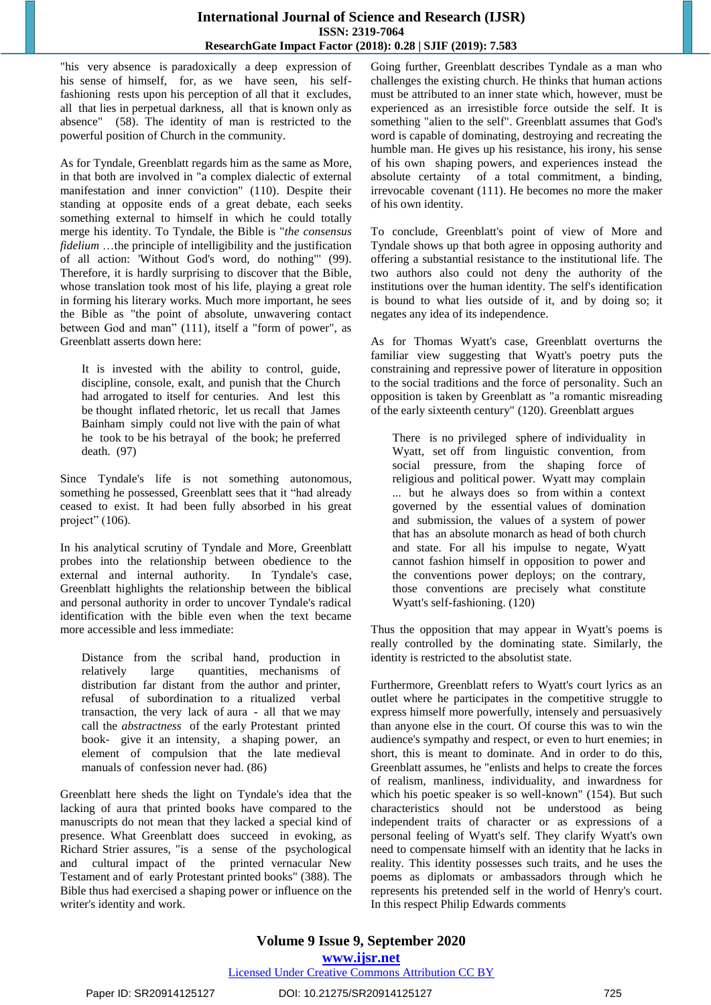"his very absence is paradoxically a deep expression of his sense of himself, for, as we have seen, his selffashioning rests upon his perception of all that it excludes, all that lies in perpetual darkness, all that is known only as absence" (58). The identity of man is restricted to the powerful position of Church in the community.

As for Tyndale, Greenblatt regards him as the same as More, in that both are involved in "a complex dialectic of external manifestation and inner conviction" (110). Despite their standing at opposite ends of a great debate, each seeks something external to himself in which he could totally merge his identity. To Tyndale, the Bible is "*the consensus fidelium* …the principle of intelligibility and the justification of all action: 'Without God's word, do nothing"' (99). Therefore, it is hardly surprising to discover that the Bible, whose translation took most of his life, playing a great role in forming his literary works. Much more important, he sees the Bible as "the point of absolute, unwavering contact between God and man" (111), itself a "form of power", as Greenblatt asserts down here:

It is invested with the ability to control, guide, discipline, console, exalt, and punish that the Church had arrogated to itself for centuries. And lest this be thought inflated rhetoric, let us recall that James Bainham simply could not live with the pain of what he took to be his betrayal of the book; he preferred death. (97)

Since Tyndale's life is not something autonomous, something he possessed, Greenblatt sees that it "had already ceased to exist. It had been fully absorbed in his great project" (106).

In his analytical scrutiny of Tyndale and More, Greenblatt probes into the relationship between obedience to the external and internal authority. In Tyndale's case, Greenblatt highlights the relationship between the biblical and personal authority in order to uncover Tyndale's radical identification with the bible even when the text became more accessible and less immediate:

Distance from the scribal hand, production in relatively large quantities, mechanisms of distribution far distant from the author and printer, refusal of subordination to a ritualized verbal transaction, the very lack of aura - all that we may call the *abstractness* of the early Protestant printed book- give it an intensity, a shaping power, an element of compulsion that the late medieval manuals of confession never had. (86)

Greenblatt here sheds the light on Tyndale's idea that the lacking of aura that printed books have compared to the manuscripts do not mean that they lacked a special kind of presence. What Greenblatt does succeed in evoking, as Richard Strier assures, "is a sense of the psychological and cultural impact of the printed vernacular New Testament and of early Protestant printed books" (388). The Bible thus had exercised a shaping power or influence on the writer's identity and work.

Going further, Greenblatt describes Tyndale as a man who challenges the existing church. He thinks that human actions must be attributed to an inner state which, however, must be experienced as an irresistible force outside the self. It is something "alien to the self". Greenblatt assumes that God's word is capable of dominating, destroying and recreating the humble man. He gives up his resistance, his irony, his sense of his own shaping powers, and experiences instead the absolute certainty of a total commitment, a binding, irrevocable covenant (111). He becomes no more the maker of his own identity.

To conclude, Greenblatt's point of view of More and Tyndale shows up that both agree in opposing authority and offering a substantial resistance to the institutional life. The two authors also could not deny the authority of the institutions over the human identity. The self's identification is bound to what lies outside of it, and by doing so; it negates any idea of its independence.

As for Thomas Wyatt's case, Greenblatt overturns the familiar view suggesting that Wyatt's poetry puts the constraining and repressive power of literature in opposition to the social traditions and the force of personality. Such an opposition is taken by Greenblatt as "a romantic misreading of the early sixteenth century" (120). Greenblatt argues

There is no privileged sphere of individuality in Wyatt, set off from linguistic convention, from social pressure, from the shaping force of religious and political power. Wyatt may complain ... but he always does so from within a context governed by the essential values of domination and submission, the values of a system of power that has an absolute monarch as head of both church and state. For all his impulse to negate, Wyatt cannot fashion himself in opposition to power and the conventions power deploys; on the contrary, those conventions are precisely what constitute Wyatt's self-fashioning. (120)

Thus the opposition that may appear in Wyatt's poems is really controlled by the dominating state. Similarly, the identity is restricted to the absolutist state.

Furthermore, Greenblatt refers to Wyatt's court lyrics as an outlet where he participates in the competitive struggle to express himself more powerfully, intensely and persuasively than anyone else in the court. Of course this was to win the audience's sympathy and respect, or even to hurt enemies; in short, this is meant to dominate. And in order to do this, Greenblatt assumes, he "enlists and helps to create the forces of realism, manliness, individuality, and inwardness for which his poetic speaker is so well-known" (154). But such characteristics should not be understood as being independent traits of character or as expressions of a personal feeling of Wyatt's self. They clarify Wyatt's own need to compensate himself with an identity that he lacks in reality. This identity possesses such traits, and he uses the poems as diplomats or ambassadors through which he represents his pretended self in the world of Henry's court. In this respect Philip Edwards comments

# **Volume 9 Issue 9, September 2020 www.ijsr.net**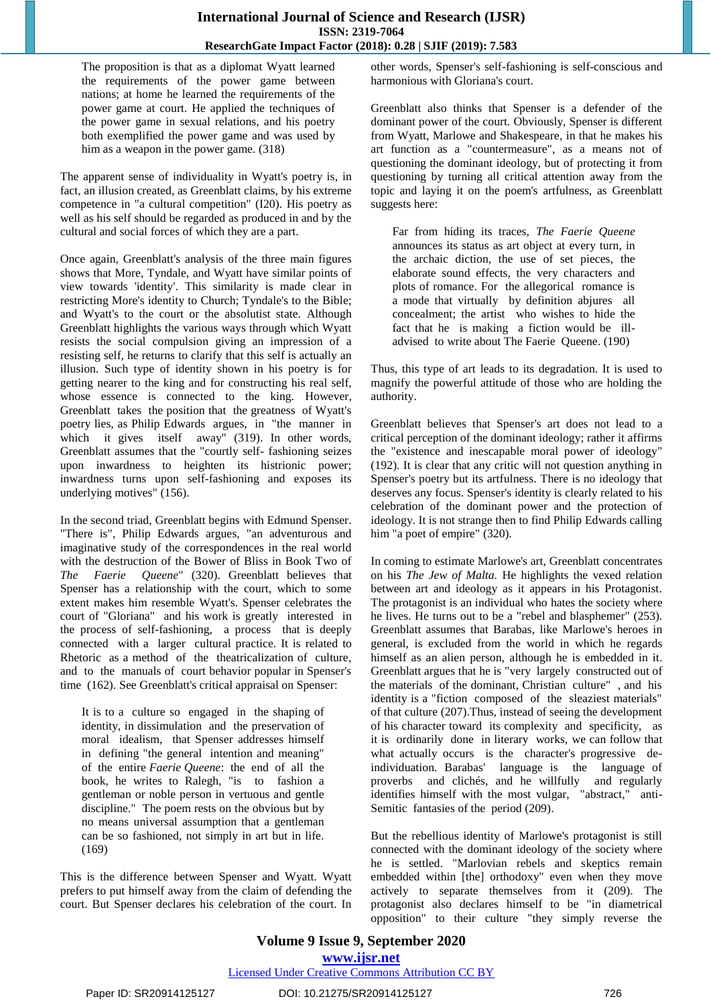The proposition is that as a diplomat Wyatt learned the requirements of the power game between nations; at home he learned the requirements of the power game at court. He applied the techniques of the power game in sexual relations, and his poetry both exemplified the power game and was used by him as a weapon in the power game. (318)

The apparent sense of individuality in Wyatt's poetry is, in fact, an illusion created, as Greenblatt claims, by his extreme competence in "a cultural competition" (I20). His poetry as well as his self should be regarded as produced in and by the cultural and social forces of which they are a part.

Once again, Greenblatt's analysis of the three main figures shows that More, Tyndale, and Wyatt have similar points of view towards 'identity'. This similarity is made clear in restricting More's identity to Church; Tyndale's to the Bible; and Wyatt's to the court or the absolutist state. Although Greenblatt highlights the various ways through which Wyatt resists the social compulsion giving an impression of a resisting self, he returns to clarify that this self is actually an illusion. Such type of identity shown in his poetry is for getting nearer to the king and for constructing his real self, whose essence is connected to the king. However, Greenblatt takes the position that the greatness of Wyatt's poetry lies, as Philip Edwards argues, in "the manner in which it gives itself away" (319). In other words, Greenblatt assumes that the "courtly self- fashioning seizes upon inwardness to heighten its histrionic power; inwardness turns upon self-fashioning and exposes its underlying motives" (156).

In the second triad, Greenblatt begins with Edmund Spenser. "There is", Philip Edwards argues, "an adventurous and imaginative study of the correspondences in the real world with the destruction of the Bower of Bliss in Book Two of *The Faerie Queene*" (320). Greenblatt believes that Spenser has a relationship with the court, which to some extent makes him resemble Wyatt's. Spenser celebrates the court of "Gloriana" and his work is greatly interested in the process of self-fashioning, a process that is deeply connected with a larger cultural practice. It is related to Rhetoric as a method of the theatricalization of culture, and to the manuals of court behavior popular in Spenser's time (162). See Greenblatt's critical appraisal on Spenser:

It is to a culture so engaged in the shaping of identity, in dissimulation and the preservation of moral idealism, that Spenser addresses himself in defining "the general intention and meaning" of the entire *Faerie Queene*: the end of all the book, he writes to Ralegh, "is to fashion a gentleman or noble person in vertuous and gentle discipline." The poem rests on the obvious but by no means universal assumption that a gentleman can be so fashioned, not simply in art but in life. (169)

This is the difference between Spenser and Wyatt. Wyatt prefers to put himself away from the claim of defending the court. But Spenser declares his celebration of the court. In

other words, Spenser's self-fashioning is self-conscious and harmonious with Gloriana's court.

Greenblatt also thinks that Spenser is a defender of the dominant power of the court. Obviously, Spenser is different from Wyatt, Marlowe and Shakespeare, in that he makes his art function as a "countermeasure", as a means not of questioning the dominant ideology, but of protecting it from questioning by turning all critical attention away from the topic and laying it on the poem's artfulness, as Greenblatt suggests here:

Far from hiding its traces, *The Faerie Queene* announces its status as art object at every turn, in the archaic diction, the use of set pieces, the elaborate sound effects, the very characters and plots of romance. For the allegorical romance is a mode that virtually by definition abjures all concealment; the artist who wishes to hide the fact that he is making a fiction would be illadvised to write about The Faerie Queene. (190)

Thus, this type of art leads to its degradation. It is used to magnify the powerful attitude of those who are holding the authority.

Greenblatt believes that Spenser's art does not lead to a critical perception of the dominant ideology; rather it affirms the "existence and inescapable moral power of ideology" (192). It is clear that any critic will not question anything in Spenser's poetry but its artfulness. There is no ideology that deserves any focus. Spenser's identity is clearly related to his celebration of the dominant power and the protection of ideology. It is not strange then to find Philip Edwards calling him "a poet of empire" (320).

In coming to estimate Marlowe's art, Greenblatt concentrates on his *The Jew of Malta.* He highlights the vexed relation between art and ideology as it appears in his Protagonist. The protagonist is an individual who hates the society where he lives. He turns out to be a "rebel and blasphemer" (253). Greenblatt assumes that Barabas, like Marlowe's heroes in general, is excluded from the world in which he regards himself as an alien person, although he is embedded in it. Greenblatt argues that he is "very largely constructed out of the materials of the dominant, Christian culture" , and his identity is a "fiction composed of the sleaziest materials" of that culture (207).Thus, instead of seeing the development of his character toward its complexity and specificity, as it is ordinarily done in literary works, we can follow that what actually occurs is the character's progressive deindividuation. Barabas' language is the language of proverbs and clichés, and he willfully and regularly identifies himself with the most vulgar, "abstract," anti-Semitic fantasies of the period (209).

But the rebellious identity of Marlowe's protagonist is still connected with the dominant ideology of the society where he is settled. "Marlovian rebels and skeptics remain embedded within [the] orthodoxy" even when they move actively to separate themselves from it (209). The protagonist also declares himself to be "in diametrical opposition" to their culture "they simply reverse the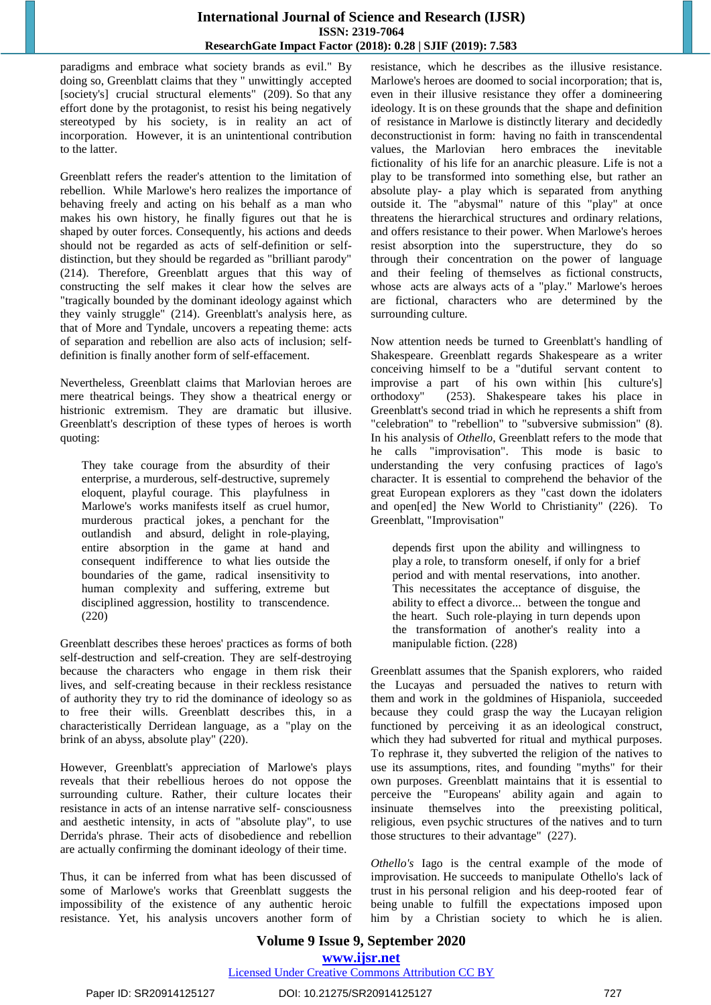paradigms and embrace what society brands as evil." By doing so, Greenblatt claims that they " unwittingly accepted [society's] crucial structural elements" (209). So that any effort done by the protagonist, to resist his being negatively stereotyped by his society, is in reality an act of incorporation. However, it is an unintentional contribution to the latter.

Greenblatt refers the reader's attention to the limitation of rebellion. While Marlowe's hero realizes the importance of behaving freely and acting on his behalf as a man who makes his own history, he finally figures out that he is shaped by outer forces. Consequently, his actions and deeds should not be regarded as acts of self-definition or selfdistinction, but they should be regarded as "brilliant parody" (214). Therefore, Greenblatt argues that this way of constructing the self makes it clear how the selves are "tragically bounded by the dominant ideology against which they vainly struggle" (214). Greenblatt's analysis here, as that of More and Tyndale, uncovers a repeating theme: acts of separation and rebellion are also acts of inclusion; selfdefinition is finally another form of self-effacement.

Nevertheless, Greenblatt claims that Marlovian heroes are mere theatrical beings. They show a theatrical energy or histrionic extremism. They are dramatic but illusive. Greenblatt's description of these types of heroes is worth quoting:

They take courage from the absurdity of their enterprise, a murderous, self-destructive, supremely eloquent, playful courage. This playfulness in Marlowe's works manifests itself as cruel humor, murderous practical jokes, a penchant for the outlandish and absurd, delight in role-playing, entire absorption in the game at hand and consequent indifference to what lies outside the boundaries of the game, radical insensitivity to human complexity and suffering, extreme but disciplined aggression, hostility to transcendence. (220)

Greenblatt describes these heroes' practices as forms of both self-destruction and self-creation. They are self-destroying because the characters who engage in them risk their lives, and self-creating because in their reckless resistance of authority they try to rid the dominance of ideology so as to free their wills. Greenblatt describes this, in a characteristically Derridean language, as a "play on the brink of an abyss, absolute play" (220).

However, Greenblatt's appreciation of Marlowe's plays reveals that their rebellious heroes do not oppose the surrounding culture. Rather, their culture locates their resistance in acts of an intense narrative self- consciousness and aesthetic intensity, in acts of "absolute play", to use Derrida's phrase. Their acts of disobedience and rebellion are actually confirming the dominant ideology of their time.

Thus, it can be inferred from what has been discussed of some of Marlowe's works that Greenblatt suggests the impossibility of the existence of any authentic heroic resistance. Yet, his analysis uncovers another form of resistance, which he describes as the illusive resistance. Marlowe's heroes are doomed to social incorporation; that is, even in their illusive resistance they offer a domineering ideology. It is on these grounds that the shape and definition of resistance in Marlowe is distinctly literary and decidedly deconstructionist in form: having no faith in transcendental values, the Marlovian hero embraces the inevitable fictionality of his life for an anarchic pleasure. Life is not a play to be transformed into something else, but rather an absolute play- a play which is separated from anything outside it. The "abysmal" nature of this "play" at once threatens the hierarchical structures and ordinary relations, and offers resistance to their power. When Marlowe's heroes resist absorption into the superstructure, they do so through their concentration on the power of language and their feeling of themselves as fictional constructs, whose acts are always acts of a "play." Marlowe's heroes are fictional, characters who are determined by the surrounding culture.

Now attention needs be turned to Greenblatt's handling of Shakespeare. Greenblatt regards Shakespeare as a writer conceiving himself to be a "dutiful servant content to improvise a part of his own within [his culture's] orthodoxy" (253). Shakespeare takes his place in Greenblatt's second triad in which he represents a shift from "celebration" to "rebellion" to "subversive submission" (8). In his analysis of *Othello*, Greenblatt refers to the mode that he calls "improvisation". This mode is basic to understanding the very confusing practices of Iago's character. It is essential to comprehend the behavior of the great European explorers as they "cast down the idolaters and open[ed] the New World to Christianity" (226). To Greenblatt, "Improvisation"

depends first upon the ability and willingness to play a role, to transform oneself, if only for a brief period and with mental reservations, into another. This necessitates the acceptance of disguise, the ability to effect a divorce... between the tongue and the heart. Such role-playing in turn depends upon the transformation of another's reality into a manipulable fiction. (228)

Greenblatt assumes that the Spanish explorers, who raided the Lucayas and persuaded the natives to return with them and work in the goldmines of Hispaniola, succeeded because they could grasp the way the Lucayan religion functioned by perceiving it as an ideological construct, which they had subverted for ritual and mythical purposes. To rephrase it, they subverted the religion of the natives to use its assumptions, rites, and founding "myths" for their own purposes. Greenblatt maintains that it is essential to perceive the "Europeans' ability again and again to insinuate themselves into the preexisting political, religious, even psychic structures of the natives and to turn those structures to their advantage" (227).

*Othello's* Iago is the central example of the mode of improvisation. He succeeds to manipulate Othello's lack of trust in his personal religion and his deep-rooted fear of being unable to fulfill the expectations imposed upon him by a Christian society to which he is alien.

# **Volume 9 Issue 9, September 2020 www.ijsr.net** Licensed Under Creative Commons Attribution CC BY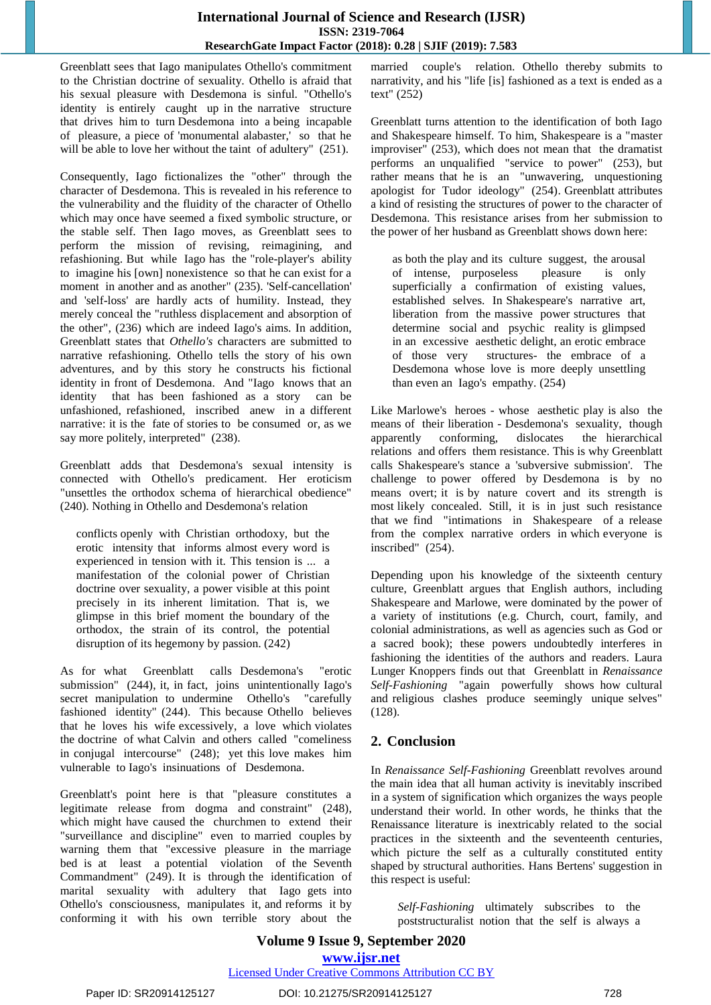Greenblatt sees that Iago manipulates Othello's commitment to the Christian doctrine of sexuality. Othello is afraid that his sexual pleasure with Desdemona is sinful. "Othello's identity is entirely caught up in the narrative structure that drives him to turn Desdemona into a being incapable of pleasure, a piece of 'monumental alabaster,' so that he will be able to love her without the taint of adultery" (251).

Consequently, Iago fictionalizes the "other" through the character of Desdemona. This is revealed in his reference to the vulnerability and the fluidity of the character of Othello which may once have seemed a fixed symbolic structure, or the stable self. Then Iago moves, as Greenblatt sees to perform the mission of revising, reimagining, and refashioning. But while Iago has the "role-player's ability to imagine his [own] nonexistence so that he can exist for a moment in another and as another" (235). 'Self-cancellation' and 'self-loss' are hardly acts of humility. Instead, they merely conceal the "ruthless displacement and absorption of the other", (236) which are indeed Iago's aims. In addition, Greenblatt states that *Othello's* characters are submitted to narrative refashioning. Othello tells the story of his own adventures, and by this story he constructs his fictional identity in front of Desdemona. And "Iago knows that an identity that has been fashioned as a story can be unfashioned, refashioned, inscribed anew in a different narrative: it is the fate of stories to be consumed or, as we say more politely, interpreted" (238).

Greenblatt adds that Desdemona's sexual intensity is connected with Othello's predicament. Her eroticism "unsettles the orthodox schema of hierarchical obedience" (240). Nothing in Othello and Desdemona's relation

conflicts openly with Christian orthodoxy, but the erotic intensity that informs almost every word is experienced in tension with it. This tension is ... a manifestation of the colonial power of Christian doctrine over sexuality, a power visible at this point precisely in its inherent limitation. That is, we glimpse in this brief moment the boundary of the orthodox, the strain of its control, the potential disruption of its hegemony by passion. (242)

As for what Greenblatt calls Desdemona's "erotic submission" (244), it, in fact, joins unintentionally Iago's secret manipulation to undermine Othello's "carefully fashioned identity" (244). This because Othello believes that he loves his wife excessively, a love which violates the doctrine of what Calvin and others called "comeliness in conjugal intercourse" (248); yet this love makes him vulnerable to Iago's insinuations of Desdemona.

Greenblatt's point here is that "pleasure constitutes a legitimate release from dogma and constraint" (248), which might have caused the churchmen to extend their "surveillance and discipline" even to married couples by warning them that "excessive pleasure in the marriage bed is at least a potential violation of the Seventh Commandment" (249). It is through the identification of marital sexuality with adultery that Iago gets into Othello's consciousness, manipulates it, and reforms it by conforming it with his own terrible story about the married couple's relation. Othello thereby submits to narrativity, and his "life [is] fashioned as a text is ended as a text" (252)

Greenblatt turns attention to the identification of both Iago and Shakespeare himself. To him, Shakespeare is a "master improviser" (253), which does not mean that the dramatist performs an unqualified "service to power" (253), but rather means that he is an "unwavering, unquestioning apologist for Tudor ideology" (254). Greenblatt attributes a kind of resisting the structures of power to the character of Desdemona. This resistance arises from her submission to the power of her husband as Greenblatt shows down here:

as both the play and its culture suggest, the arousal of intense, purposeless pleasure is only superficially a confirmation of existing values, established selves. In Shakespeare's narrative art, liberation from the massive power structures that determine social and psychic reality is glimpsed in an excessive aesthetic delight, an erotic embrace of those very structures- the embrace of a Desdemona whose love is more deeply unsettling than even an Iago's empathy. (254)

Like Marlowe's heroes - whose aesthetic play is also the means of their liberation - Desdemona's sexuality, though apparently conforming, dislocates the hierarchical relations and offers them resistance. This is why Greenblatt calls Shakespeare's stance a 'subversive submission'. The challenge to power offered by Desdemona is by no means overt; it is by nature covert and its strength is most likely concealed. Still, it is in just such resistance that we find "intimations in Shakespeare of a release from the complex narrative orders in which everyone is inscribed" (254).

Depending upon his knowledge of the sixteenth century culture, Greenblatt argues that English authors, including Shakespeare and Marlowe, were dominated by the power of a variety of institutions (e.g. Church, court, family, and colonial administrations, as well as agencies such as God or a sacred book); these powers undoubtedly interferes in fashioning the identities of the authors and readers. Laura Lunger Knoppers finds out that Greenblatt in *Renaissance Self-Fashioning* "again powerfully shows how cultural and religious clashes produce seemingly unique selves" (128).

# **2. Conclusion**

In *Renaissance Self-Fashioning* Greenblatt revolves around the main idea that all human activity is inevitably inscribed in a system of signification which organizes the ways people understand their world. In other words, he thinks that the Renaissance literature is inextricably related to the social practices in the sixteenth and the seventeenth centuries, which picture the self as a culturally constituted entity shaped by structural authorities. Hans Bertens' suggestion in this respect is useful:

*Self-Fashioning* ultimately subscribes to the poststructuralist notion that the self is always a

# **Volume 9 Issue 9, September 2020 www.ijsr.net**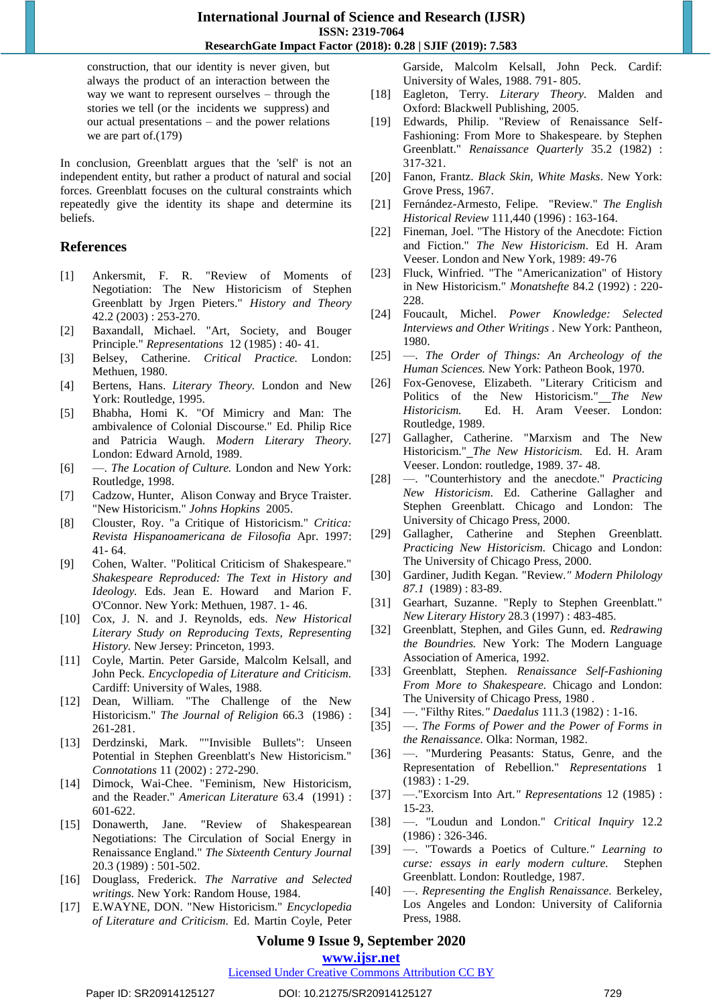construction, that our identity is never given, but always the product of an interaction between the way we want to represent ourselves – through the stories we tell (or the incidents we suppress) and our actual presentations – and the power relations we are part of.(179)

In conclusion, Greenblatt argues that the 'self' is not an independent entity, but rather a product of natural and social forces. Greenblatt focuses on the cultural constraints which repeatedly give the identity its shape and determine its beliefs.

#### **References**

- [1] Ankersmit, F. R. "Review of Moments of Negotiation: The New Historicism of Stephen Greenblatt by Jrgen Pieters." *History and Theory* 42.2 (2003) : 253-270.
- [2] Baxandall, Michael. "Art, Society, and Bouger Principle." *Representations* 12 (1985) : 40- 41.
- [3] Belsey, Catherine. *Critical Practice.* London: Methuen, 1980.
- [4] Bertens, Hans. *Literary Theory.* London and New York: Routledge, 1995.
- [5] Bhabha, Homi K. "Of Mimicry and Man: The ambivalence of Colonial Discourse." Ed. Philip Rice and Patricia Waugh. *Modern Literary Theory.* London: Edward Arnold, 1989.
- [6] —. *The Location of Culture.* London and New York: Routledge, 1998.
- [7] Cadzow, Hunter, Alison Conway and Bryce Traister. "New Historicism." *Johns Hopkins* 2005.
- [8] Clouster, Roy. "a Critique of Historicism." *Critica: Revista Hispanoamericana de Filosofia* Apr. 1997: 41- 64.
- [9] Cohen, Walter. "Political Criticism of Shakespeare." *Shakespeare Reproduced: The Text in History and Ideology.* Eds. Jean E. Howard and Marion F. O'Connor. New York: Methuen, 1987. 1- 46.
- [10] Cox, J. N. and J. Reynolds, eds. *New Historical Literary Study on Reproducing Texts, Representing History.* New Jersey: Princeton, 1993.
- [11] Coyle, Martin. Peter Garside, Malcolm Kelsall, and John Peck. *Encyclopedia of Literature and Criticism.* Cardiff: University of Wales, 1988.
- [12] Dean, William. "The Challenge of the New Historicism." *The Journal of Religion* 66.3 (1986) : 261-281.
- [13] Derdzinski, Mark. ""Invisible Bullets": Unseen Potential in Stephen Greenblatt's New Historicism." *Connotations* 11 (2002) : 272-290.
- [14] Dimock, Wai-Chee. "Feminism, New Historicism, and the Reader." *American Literature* 63.4 (1991) : 601-622.
- [15] Donawerth, Jane. "Review of Shakespearean Negotiations: The Circulation of Social Energy in Renaissance England." *The Sixteenth Century Journal* 20.3 (1989) : 501-502.
- [16] Douglass, Frederick. *The Narrative and Selected writings.* New York: Random House, 1984.
- [17] E.WAYNE, DON. "New Historicism." *Encyclopedia of Literature and Criticism.* Ed. Martin Coyle, Peter

Garside, Malcolm Kelsall, John Peck. Cardif: University of Wales, 1988. 791- 805.

- [18] Eagleton, Terry. *Literary Theory.* Malden and Oxford: Blackwell Publishing, 2005.
- [19] Edwards, Philip. "Review of Renaissance Self-Fashioning: From More to Shakespeare. by Stephen Greenblatt." *Renaissance Quarterly* 35.2 (1982) : 317-321.
- [20] Fanon, Frantz. *Black Skin, White Masks*. New York: Grove Press, 1967.
- [21] Fernández-Armesto, Felipe. "Review." *The English Historical Review* 111,440 (1996) : 163-164.
- [22] Fineman, Joel. "The History of the Anecdote: Fiction and Fiction." *The New Historicism*. Ed H. Aram Veeser. London and New York, 1989: 49-76
- [23] Fluck, Winfried. "The "Americanization" of History in New Historicism." *Monatshefte* 84.2 (1992) : 220- 228.
- [24] Foucault, Michel. *Power Knowledge: Selected Interviews and Other Writings .* New York: Pantheon, 1980.
- [25] —. *The Order of Things: An Archeology of the Human Sciences.* New York: Patheon Book, 1970.
- [26] Fox-Genovese, Elizabeth. "Literary Criticism and Politics of the New Historicism." *The New Historicism.* Ed. H. Aram Veeser. London: Routledge, 1989.
- [27] Gallagher, Catherine. "Marxism and The New Historicism." *The New Historicism.* Ed. H. Aram Veeser. London: routledge, 1989. 37- 48.
- [28] —. "Counterhistory and the anecdote." *Practicing New Historicism*. Ed. Catherine Gallagher and Stephen Greenblatt. Chicago and London: The University of Chicago Press, 2000.
- [29] Gallagher, Catherine and Stephen Greenblatt. *Practicing New Historicism.* Chicago and London: The University of Chicago Press, 2000.
- [30] Gardiner, Judith Kegan. "Review*." Modern Philology 87.1* (1989) : 83-89.
- [31] Gearhart, Suzanne. "Reply to Stephen Greenblatt." *New Literary History* 28.3 (1997) : 483-485.
- [32] Greenblatt, Stephen, and Giles Gunn, ed. *Redrawing the Boundries.* New York: The Modern Language Association of America, 1992.
- [33] Greenblatt, Stephen. *Renaissance Self-Fashioning From More to Shakespeare.* Chicago and London: The University of Chicago Press, 1980 .
- [34] —. "Filthy Rites*." Daedalus* 111.3 (1982) : 1-16.
- [35] —. *The Forms of Power and the Power of Forms in the Renaissance.* Olka: Norman, 1982.
- [36] —. "Murdering Peasants: Status, Genre, and the Representation of Rebellion." *Representations* 1 (1983) : 1-29.
- [37] —."Exorcism Into Art*." Representations* 12 (1985) : 15-23.
- [38] —. "Loudun and London." *Critical Inquiry* 12.2 (1986) : 326-346.
- [39] —. "Towards a Poetics of Culture*." Learning to curse: essays in early modern culture.* Stephen Greenblatt. London: Routledge, 1987.
- [40] —. *Representing the English Renaissance.* Berkeley, Los Angeles and London: University of California Press, 1988.

# **Volume 9 Issue 9, September 2020**

#### **www.ijsr.net**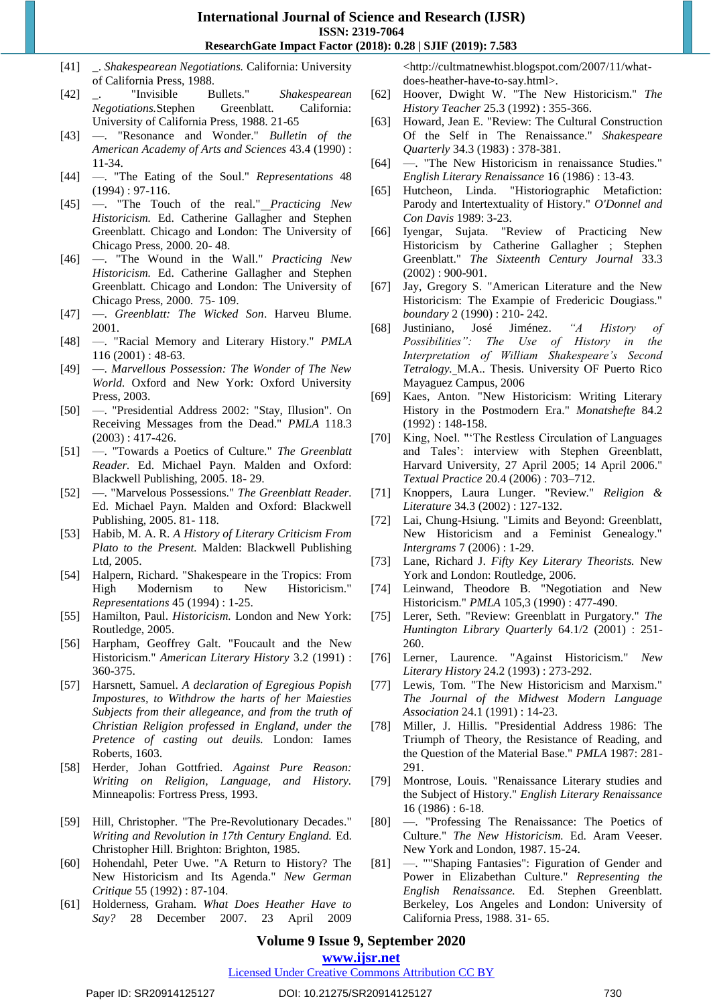- [41] \_. *Shakespearean Negotiations.* California: University of California Press, 1988.
- [42] \_. "Invisible Bullets." *Shakespearean Negotiations.*Stephen Greenblatt. California: University of California Press, 1988. 21-65
- [43] —. "Resonance and Wonder." *Bulletin of the American Academy of Arts and Sciences* 43.4 (1990) : 11-34.
- [44] —. "The Eating of the Soul." *Representations* 48 (1994) : 97-116.
- [45] —. "The Touch of the real." *Practicing New Historicism.* Ed. Catherine Gallagher and Stephen Greenblatt. Chicago and London: The University of Chicago Press, 2000. 20- 48.
- [46] —. "The Wound in the Wall." *Practicing New Historicism.* Ed. Catherine Gallagher and Stephen Greenblatt. Chicago and London: The University of Chicago Press, 2000. 75- 109.
- [47] —. *Greenblatt: The Wicked Son*. Harveu Blume. 2001.
- [48] —. "Racial Memory and Literary History." *PMLA* 116 (2001) : 48-63.
- [49] —. *Marvellous Possession: The Wonder of The New World.* Oxford and New York: Oxford University Press, 2003.
- [50] —. "Presidential Address 2002: "Stay, Illusion". On Receiving Messages from the Dead." *PMLA* 118.3  $(2003): 417-426.$
- [51] —. "Towards a Poetics of Culture." *The Greenblatt Reader.* Ed. Michael Payn. Malden and Oxford: Blackwell Publishing, 2005. 18- 29.
- [52] —. "Marvelous Possessions." *The Greenblatt Reader.* Ed. Michael Payn. Malden and Oxford: Blackwell Publishing, 2005. 81- 118.
- [53] Habib, M. A. R. *A History of Literary Criticism From Plato to the Present.* Malden: Blackwell Publishing Ltd, 2005.
- [54] Halpern, Richard. "Shakespeare in the Tropics: From High Modernism to New Historicism." *Representations* 45 (1994) : 1-25.
- [55] Hamilton, Paul. *Historicism.* London and New York: Routledge, 2005.
- [56] Harpham, Geoffrey Galt. "Foucault and the New Historicism." *American Literary History* 3.2 (1991) : 360-375.
- [57] Harsnett, Samuel. *A declaration of Egregious Popish Impostures, to Withdrow the harts of her Maiesties Subjects from their allegeance, and from the truth of Christian Religion professed in England, under the Pretence of casting out deuils.* London: Iames Roberts, 1603.
- [58] Herder, Johan Gottfried. *Against Pure Reason: Writing on Religion, Language, and History.* Minneapolis: Fortress Press, 1993.
- [59] Hill, Christopher. "The Pre-Revolutionary Decades." *Writing and Revolution in 17th Century England.* Ed. Christopher Hill. Brighton: Brighton, 1985.
- [60] Hohendahl, Peter Uwe. "A Return to History? The New Historicism and Its Agenda." *New German Critique* 55 (1992) : 87-104.
- [61] Holderness, Graham. *What Does Heather Have to Say?* 28 December 2007. 23 April 2009

<http://cultmatnewhist.blogspot.com/2007/11/whatdoes-heather-have-to-say.html>.

- [62] Hoover, Dwight W. "The New Historicism." *The History Teacher* 25.3 (1992) : 355-366.
- [63] Howard, Jean E. "Review: The Cultural Construction Of the Self in The Renaissance." *Shakespeare Quarterly* 34.3 (1983) : 378-381.
- [64] —. "The New Historicism in renaissance Studies." *English Literary Renaissance* 16 (1986) : 13-43.
- [65] Hutcheon, Linda. "Historiographic Metafiction: Parody and Intertextuality of History." *O'Donnel and Con Davis* 1989: 3-23.
- [66] Iyengar, Sujata. "Review of Practicing New Historicism by Catherine Gallagher ; Stephen Greenblatt." *The Sixteenth Century Journal* 33.3 (2002) : 900-901.
- [67] Jay, Gregory S. "American Literature and the New Historicism: The Exampie of Fredericic Dougiass." *boundary* 2 (1990) : 210- 242.
- [68] Justiniano, José Jiménez. *"A History of Possibilities": The Use of History in the Interpretation of William Shakespeare's Second Tetralogy.* M.A.. Thesis. University OF Puerto Rico Mayaguez Campus, 2006
- [69] Kaes, Anton. "New Historicism: Writing Literary History in the Postmodern Era." *Monatshefte* 84.2 (1992) : 148-158.
- [70] King, Noel. "'The Restless Circulation of Languages and Tales': interview with Stephen Greenblatt, Harvard University, 27 April 2005; 14 April 2006." *Textual Practice* 20.4 (2006) : 703–712.
- [71] Knoppers, Laura Lunger. "Review." *Religion & Literature* 34.3 (2002) : 127-132.
- [72] Lai, Chung-Hsiung. "Limits and Beyond: Greenblatt, New Historicism and a Feminist Genealogy." *Intergrams* 7 (2006) : 1-29.
- [73] Lane, Richard J. *Fifty Key Literary Theorists.* New York and London: Routledge, 2006.
- [74] Leinwand, Theodore B. "Negotiation and New Historicism." *PMLA* 105,3 (1990) : 477-490.
- [75] Lerer, Seth. "Review: Greenblatt in Purgatory." *The Huntington Library Quarterly* 64.1/2 (2001) : 251- 260.
- [76] Lerner, Laurence. "Against Historicism." *New Literary History* 24.2 (1993) : 273-292.
- [77] Lewis, Tom. "The New Historicism and Marxism." *The Journal of the Midwest Modern Language Association* 24.1 (1991) : 14-23.
- [78] Miller, J. Hillis. "Presidential Address 1986: The Triumph of Theory, the Resistance of Reading, and the Question of the Material Base." *PMLA* 1987: 281- 291.
- [79] Montrose, Louis. "Renaissance Literary studies and the Subject of History." *English Literary Renaissance* 16 (1986) : 6-18.
- [80] —. "Professing The Renaissance: The Poetics of Culture." *The New Historicism.* Ed. Aram Veeser. New York and London, 1987. 15-24.
- [81] —. ""Shaping Fantasies": Figuration of Gender and Power in Elizabethan Culture." *Representing the English Renaissance.* Ed. Stephen Greenblatt. Berkeley, Los Angeles and London: University of California Press, 1988. 31- 65.

# **Volume 9 Issue 9, September 2020**

**www.ijsr.net**